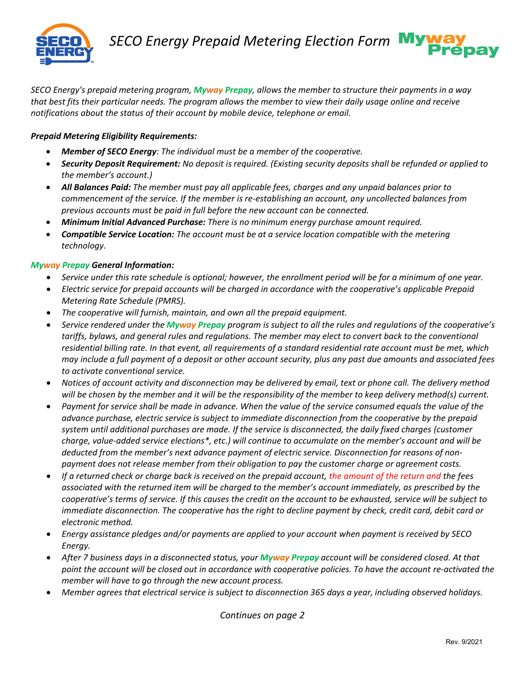

*SECO Energy's prepaid metering program, Myway Prepay, allows the member to structure their payments in a way that best fits their particular needs. The program allows the member to view their daily usage online and receive notifications about the status of their account by mobile device, telephone or email.* 

## *Prepaid Metering Eligibility Requirements:*

- *Member of SECO Energy: The individual must be a member of the cooperative.*
- *Security Deposit Requirement: No deposit is required. (Existing security deposits shall be refunded or applied to the member's account.)*
- *All Balances Paid: The member must pay all applicable fees, charges and any unpaid balances prior to commencement of the service. If the member is re-establishing an account, any uncollected balances from previous accounts must be paid in full before the new account can be connected.*
- *Minimum Initial Advanced Purchase: There is no minimum energy purchase amount required.*
- *Compatible Service Location: The account must be at a service location compatible with the metering technology.*

## *Myway Prepay General Information:*

- *Service under this rate schedule is optional; however, the enrollment period will be for a minimum of one year.*
- *Electric service for prepaid accounts will be charged in accordance with the cooperative's applicable Prepaid Metering Rate Schedule (PMRS).*
- *The cooperative will furnish, maintain, and own all the prepaid equipment.*
- *Service rendered under the Myway Prepay program is subject to all the rules and regulations of the cooperative's tariffs, bylaws, and general rules and regulations. The member may elect to convert back to the conventional residential billing rate. In that event, all requirements of a standard residential rate account must be met, which may include a full payment of a deposit or other account security, plus any past due amounts and associated fees to activate conventional service.*
- *Notices of account activity and disconnection may be delivered by email, text or phone call. The delivery method will be chosen by the member and it will be the responsibility of the member to keep delivery method(s) current.*
- *Payment for service shall be made in advance. When the value of the service consumed equals the value of the advance purchase, electric service is subject to immediate disconnection from the cooperative by the prepaid system until additional purchases are made. If the service is disconnected, the daily fixed charges (customer charge, value-added service elections\*, etc.) will continue to accumulate on the member's account and will be deducted from the member's next advance payment of electric service. Disconnection for reasons of nonpayment does not release member from their obligation to pay the customer charge or agreement costs.*
- *If a returned check or charge back is received on the prepaid account, the amount of the return and the fees associated with the returned item will be charged to the member's account immediately, as prescribed by the cooperative's terms of service. If this causes the credit on the account to be exhausted, service will be subject to immediate disconnection. The cooperative has the right to decline payment by check, credit card, debit card or electronic method.*
- *Energy assistance pledges and/or payments are applied to your account when payment is received by SECO Energy.*
- *After 7 business days in a disconnected status, your Myway Prepay account will be considered closed. At that point the account will be closed out in accordance with cooperative policies. To have the account re-activated the member will have to go through the new account process.*
- *Member agrees that electrical service is subject to disconnection 365 days a year, including observed holidays.*